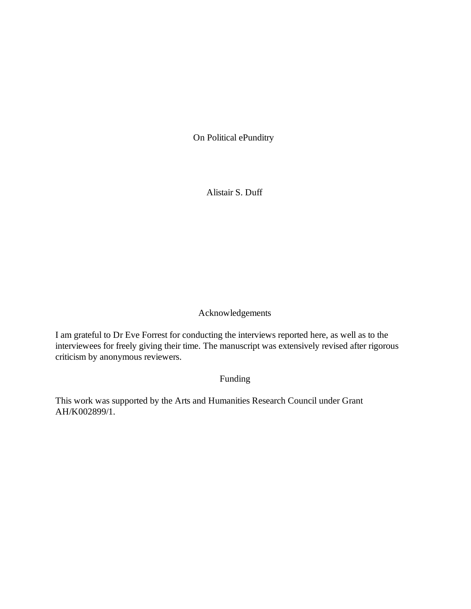On Political ePunditry

Alistair S. Duff

Acknowledgements

I am grateful to Dr Eve Forrest for conducting the interviews reported here, as well as to the interviewees for freely giving their time. The manuscript was extensively revised after rigorous criticism by anonymous reviewers.

Funding

This work was supported by the Arts and Humanities Research Council under Grant AH/K002899/1.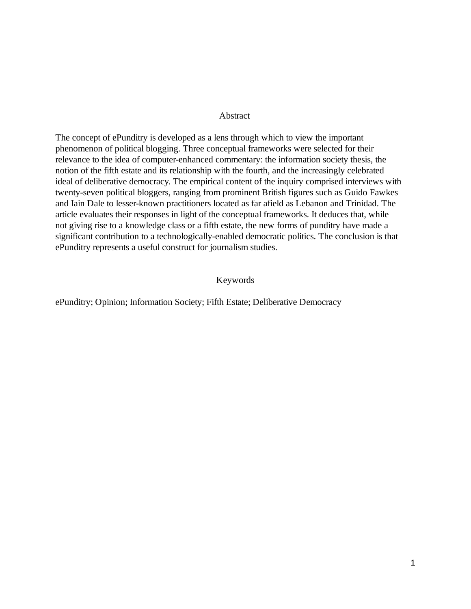#### **Abstract**

The concept of ePunditry is developed as a lens through which to view the important phenomenon of political blogging. Three conceptual frameworks were selected for their relevance to the idea of computer-enhanced commentary: the information society thesis, the notion of the fifth estate and its relationship with the fourth, and the increasingly celebrated ideal of deliberative democracy. The empirical content of the inquiry comprised interviews with twenty-seven political bloggers, ranging from prominent British figures such as Guido Fawkes and Iain Dale to lesser-known practitioners located as far afield as Lebanon and Trinidad. The article evaluates their responses in light of the conceptual frameworks. It deduces that, while not giving rise to a knowledge class or a fifth estate, the new forms of punditry have made a significant contribution to a technologically-enabled democratic politics. The conclusion is that ePunditry represents a useful construct for journalism studies.

## Keywords

ePunditry; Opinion; Information Society; Fifth Estate; Deliberative Democracy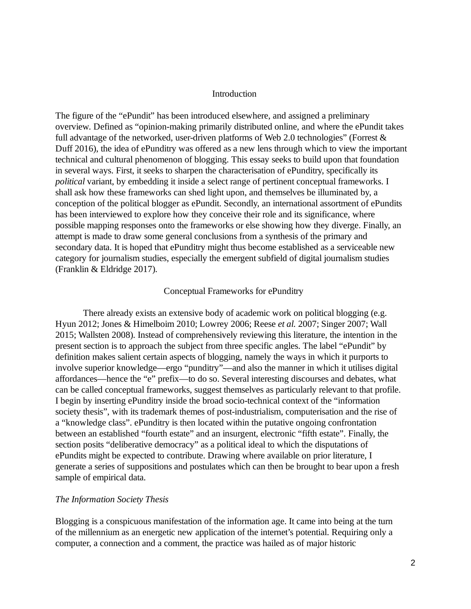#### **Introduction**

The figure of the "ePundit" has been introduced elsewhere, and assigned a preliminary overview. Defined as "opinion-making primarily distributed online, and where the ePundit takes full advantage of the networked, user-driven platforms of Web 2.0 technologies" (Forrest & Duff 2016), the idea of ePunditry was offered as a new lens through which to view the important technical and cultural phenomenon of blogging. This essay seeks to build upon that foundation in several ways. First, it seeks to sharpen the characterisation of ePunditry, specifically its *political* variant, by embedding it inside a select range of pertinent conceptual frameworks. I shall ask how these frameworks can shed light upon, and themselves be illuminated by, a conception of the political blogger as ePundit. Secondly, an international assortment of ePundits has been interviewed to explore how they conceive their role and its significance, where possible mapping responses onto the frameworks or else showing how they diverge. Finally, an attempt is made to draw some general conclusions from a synthesis of the primary and secondary data. It is hoped that ePunditry might thus become established as a serviceable new category for journalism studies, especially the emergent subfield of digital journalism studies (Franklin & Eldridge 2017).

#### Conceptual Frameworks for ePunditry

There already exists an extensive body of academic work on political blogging (e.g. Hyun 2012; Jones & Himelboim 2010; Lowrey 2006; Reese *et al.* 2007; Singer 2007; Wall 2015; Wallsten 2008). Instead of comprehensively reviewing this literature, the intention in the present section is to approach the subject from three specific angles. The label "ePundit" by definition makes salient certain aspects of blogging, namely the ways in which it purports to involve superior knowledge— ergo "punditry"— and also the manner in which it utilises digital affordances— hence the "e" prefix — to do so. Several interesting discourses and debates, what can be called conceptual frameworks, suggest themselves as particularly relevant to that profile. I begin by inserting ePunditry inside the broad socio-technical context of the "information society thesis", with its trademark themes of post-industrialism, computerisation and the rise of a "knowledge class". ePunditry is then located within the putative ongoing confrontation between an established "fourth estate" and an insurgent, electronic "fifth estate". Finally, the section posits "deliberative democracy" as a political ideal to which the disputations of ePundits might be expected to contribute. Drawing where available on prior literature, I generate a series of suppositions and postulates which can then be brought to bear upon a fresh sample of empirical data.

## *The Information Society Thesis*

Blogging is a conspicuous manifestation of the information age. It came into being at the turn of the millennium as an energetic new application of the internet's potential. Requiring only a computer, a connection and a comment, the practice was hailed as of major historic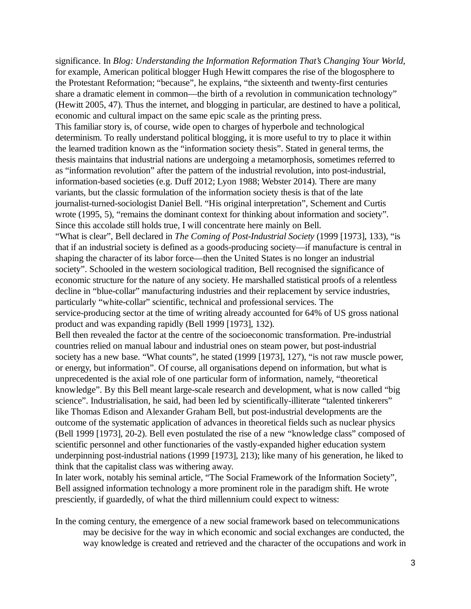significance. In *Blog: Understanding the Information Reformation That's Changing Your World*, for example, American political blogger Hugh Hewitt compares the rise of the blogosphere to the Protestant Reformation; "because", he explains, "the sixteenth and twenty-first centuries share a dramatic element in common—the birth of a revolution in communication technology" (Hewitt 2005, 47). Thus the internet, and blogging in particular, are destined to have a political, economic and cultural impact on the same epic scale as the printing press.

This familiar story is, of course, wide open to charges of hyperbole and technological determinism. To really understand political blogging, it is more useful to try to place it within the learned tradition known as the "information society thesis". Stated in general terms, the thesis maintains that industrial nations are undergoing a metamorphosis, sometimes referred to as "information revolution" after the pattern of the industrial revolution, into post-industrial, information-based societies (e.g. Duff 2012; Lyon 1988; Webster 2014). There are many variants, but the classic formulation of the information society thesis is that of the late journalist-turned-sociologist Daniel Bell. "His original interpretation", Schement and Curtis wrote (1995, 5), "remains the dominant context for thinking about information and society". Since this accolade still holds true, I will concentrate here mainly on Bell.

"What is clear", Bell declared in *The Coming of Post-Industrial Society* (1999 [1973], 133), "is that if an industrial society is defined as a goods-producing society—if manufacture is central in shaping the character of its labor force—then the United States is no longer an industrial society". Schooled in the western sociological tradition, Bell recognised the significance of economic structure for the nature of any society. He marshalled statistical proofs of a relentless decline in "blue-collar" manufacturing industries and their replacement by service industries, particularly "white-collar" scientific, technical and professional services. The service-producing sector at the time of writing already accounted for 64% of US gross national product and was expanding rapidly (Bell 1999 [1973], 132).

Bell then revealed the factor at the centre of the socioeconomic transformation. Pre-industrial countries relied on manual labour and industrial ones on steam power, but post-industrial society has a new base. "What counts", he stated (1999 [1973], 127), "is not raw muscle power, or energy, but information". Of course, all organisations depend on information, but what is unprecedented is the axial role of one particular form of information, namely, "theoretical knowledge". By this Bell meant large-scale research and development, what is now called "big science". Industrialisation, he said, had been led by scientifically-illiterate "talented tinkerers" like Thomas Edison and Alexander Graham Bell, but post-industrial developments are the outcome of the systematic application of advances in theoretical fields such as nuclear physics (Bell 1999 [1973], 20-2). Bell even postulated the rise of a new "knowledge class" composed of scientific personnel and other functionaries of the vastly-expanded higher education system underpinning post-industrial nations (1999 [1973], 213); like many of his generation, he liked to think that the capitalist class was withering away.

In later work, notably his seminal article, "The Social Framework of the Information Society", Bell assigned information technology a more prominent role in the paradigm shift. He wrote presciently, if guardedly, of what the third millennium could expect to witness:

In the coming century, the emergence of a new social framework based on telecommunications may be decisive for the way in which economic and social exchanges are conducted, the way knowledge is created and retrieved and the character of the occupations and work in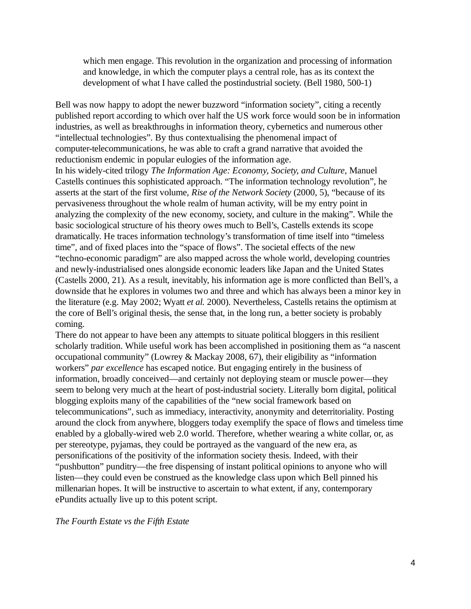which men engage. This revolution in the organization and processing of information and knowledge, in which the computer plays a central role, has as its context the development of what I have called the postindustrial society. (Bell 1980, 500-1)

Bell was now happy to adopt the newer buzzword "information society", citing a recently published report according to which over half the US work force would soon be in information industries, as well as breakthroughs in information theory, cybernetics and numerous other "intellectual technologies". By thus contextualising the phenomenal impact of computer-telecommunications, he was able to craft a grand narrative that avoided the reductionism endemic in popular eulogies of the information age.

In his widely-cited trilogy *The Information Age: Economy, Society, and Culture,* Manuel Castells continues this sophisticated approach. "The information technology revolution", he asserts at the start of the first volume, *Rise of the Network Society* (2000, 5), "because of its pervasiveness throughout the whole realm of human activity, will be my entry point in analyzing the complexity of the new economy, society, and culture in the making". While the basic sociological structure of his theory owes much to Bell's, Castells extends its scope dramatically. He traces information technology's transformation of time itself into "timeless time", and of fixed places into the "space of flows". The societal effects of the new "techno-economic paradigm" are also mapped across the whole world, developing countries and newly-industrialised ones alongside economic leaders like Japan and the United States (Castells 2000, 21). As a result, inevitably, his information age is more conflicted than Bell's, a downside that he explores in volumes two and three and which has always been a minor key in the literature (e.g. May 2002; Wyatt *et al.* 2000). Nevertheless, Castells retains the optimism at the core of Bell's original thesis, the sense that, in the long run, a better society is probably coming.

There do not appear to have been any attempts to situate political bloggers in this resilient scholarly tradition. While useful work has been accomplished in positioning them as "a nascent occupational community" (Lowrey & Mackay 2008, 67), their eligibility as "information workers" *par excellence* has escaped notice. But engaging entirely in the business of information, broadly conceived—and certainly not deploying steam or muscle power—they seem to belong very much at the heart of post-industrial society. Literally born digital, political blogging exploits many of the capabilities of the "new social framework based on telecommunications", such as immediacy, interactivity, anonymity and deterritoriality. Posting around the clock from anywhere, bloggers today exemplify the space of flows and timeless time enabled by a globally-wired web 2.0 world. Therefore, whether wearing a white collar, or, as per stereotype, pyjamas, they could be portrayed as the vanguard of the new era, as personifications of the positivity of the information society thesis. Indeed, with their "pushbutton" punditry—the free dispensing of instant political opinions to anyone who will listen—they could even be construed as the knowledge class upon which Bell pinned his millenarian hopes. It will be instructive to ascertain to what extent, if any, contemporary ePundits actually live up to this potent script.

*The Fourth Estate vs the Fifth Estate*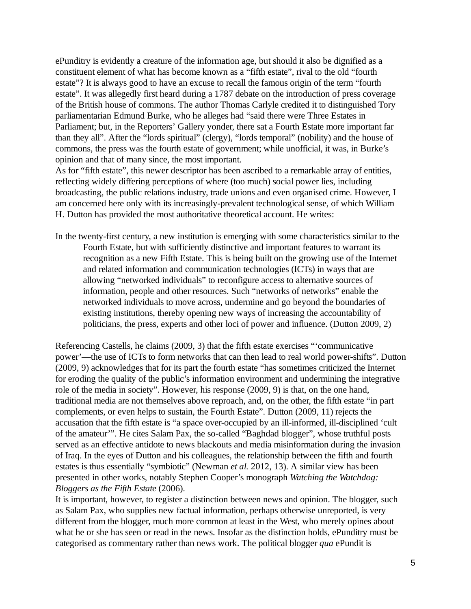ePunditry is evidently a creature of the information age, but should it also be dignified as a constituent element of what has become known as a "fifth estate", rival to the old "fourth estate"? It is always good to have an excuse to recall the famous origin of the term "fourth estate". It was allegedly first heard during a 1787 debate on the introduction of press coverage of the British house of commons. The author Thomas Carlyle credited it to distinguished Tory parliamentarian Edmund Burke, who he alleges had "said there were Three Estates in Parliament; but, in the Reporters' Gallery yonder, there sat a Fourth Estate more important far than they all". After the "lords spiritual" (clergy), "lords temporal" (nobility) and the house of commons, the press was the fourth estate of government; while unofficial, it was, in Burke's opinion and that of many since, the most important.

As for "fifth estate", this newer descriptor has been ascribed to a remarkable array of entities, reflecting widely differing perceptions of where (too much) social power lies, including broadcasting, the public relations industry, trade unions and even organised crime. However, I am concerned here only with its increasingly-prevalent technological sense, of which William H. Dutton has provided the most authoritative theoretical account. He writes:

In the twenty-first century, a new institution is emerging with some characteristics similar to the Fourth Estate, but with sufficiently distinctive and important features to warrant its recognition as a new Fifth Estate. This is being built on the growing use of the Internet and related information and communication technologies (ICTs) in ways that are allowing "networked individuals" to reconfigure access to alternative sources of information, people and other resources. Such "networks of networks" enable the networked individuals to move across, undermine and go beyond the boundaries of existing institutions, thereby opening new ways of increasing the accountability of politicians, the press, experts and other loci of power and influence. (Dutton 2009, 2)

Referencing Castells, he claims (2009, 3) that the fifth estate exercises "'communicative power'—the use of ICTs to form networks that can then lead to real world power-shifts". Dutton (2009, 9) acknowledges that for its part the fourth estate "has sometimes criticized the Internet for eroding the quality of the public's information environment and undermining the integrative role of the media in society". However, his response (2009, 9) is that, on the one hand, traditional media are not themselves above reproach, and, on the other, the fifth estate "in part complements, or even helps to sustain, the Fourth Estate". Dutton (2009, 11) rejects the accusation that the fifth estate is "a space over-occupied by an ill-informed, ill-disciplined 'cult of the amateur'". He cites Salam Pax, the so-called "Baghdad blogger", whose truthful posts served as an effective antidote to news blackouts and media misinformation during the invasion of Iraq. In the eyes of Dutton and his colleagues, the relationship between the fifth and fourth estates is thus essentially "symbiotic" (Newman *et al.* 2012, 13). A similar view has been presented in other works, notably Stephen Cooper's monograph *Watching the Watchdog: Bloggers as the Fifth Estate* (2006).

It is important, however, to register a distinction between news and opinion. The blogger, such as Salam Pax, who supplies new factual information, perhaps otherwise unreported, is very different from the blogger, much more common at least in the West, who merely opines about what he or she has seen or read in the news. Insofar as the distinction holds, ePunditry must be categorised as commentary rather than news work. The political blogger *qua* ePundit is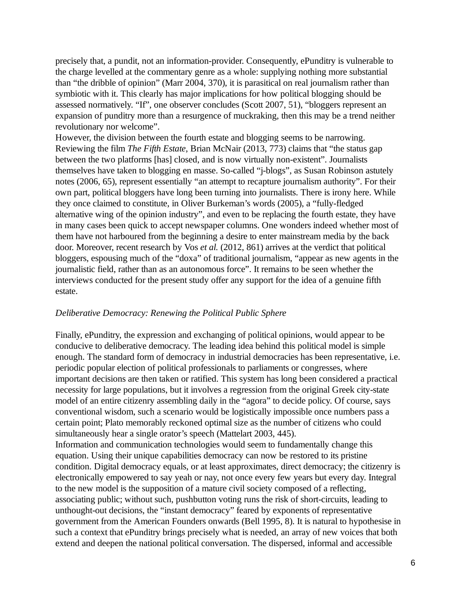precisely that, a pundit, not an information-provider. Consequently, ePunditry is vulnerable to the charge levelled at the commentary genre as a whole: supplying nothing more substantial than "the dribble of opinion" (Marr 2004, 370), it is parasitical on real journalism rather than symbiotic with it. This clearly has major implications for how political blogging should be assessed normatively. "If", one observer concludes (Scott 2007, 51), "bloggers represent an expansion of punditry more than a resurgence of muckraking, then this may be a trend neither revolutionary nor welcome".

However, the division between the fourth estate and blogging seems to be narrowing. Reviewing the film *The Fifth Estate*, Brian McNair (2013, 773) claims that "the status gap between the two platforms [has] closed, and is now virtually non-existent". Journalists themselves have taken to blogging en masse. So-called "j-blogs", as Susan Robinson astutely notes (2006, 65), represent essentially "an attempt to recapture journalism authority". For their own part, political bloggers have long been turning into journalists. There is irony here. While they once claimed to constitute, in Oliver Burkeman's words (2005), a "fully-fledged alternative wing of the opinion industry", and even to be replacing the fourth estate, they have in many cases been quick to accept newspaper columns. One wonders indeed whether most of them have not harboured from the beginning a desire to enter mainstream media by the back door. Moreover, recent research by Vos *et al.* (2012, 861) arrives at the verdict that political bloggers, espousing much of the "doxa" of traditional journalism, "appear as new agents in the journalistic field, rather than as an autonomous force". It remains to be seen whether the interviews conducted for the present study offer any support for the idea of a genuine fifth estate.

# *Deliberative Democracy: Renewing the Political Public Sphere*

Finally, ePunditry, the expression and exchanging of political opinions, would appear to be conducive to deliberative democracy. The leading idea behind this political model is simple enough. The standard form of democracy in industrial democracies has been representative, i.e. periodic popular election of political professionals to parliaments or congresses, where important decisions are then taken or ratified. This system has long been considered a practical necessity for large populations, but it involves a regression from the original Greek city-state model of an entire citizenry assembling daily in the "agora" to decide policy. Of course, says conventional wisdom, such a scenario would be logistically impossible once numbers pass a certain point; Plato memorably reckoned optimal size as the number of citizens who could simultaneously hear a single orator's speech (Mattelart 2003, 445).

Information and communication technologies would seem to fundamentally change this equation. Using their unique capabilities democracy can now be restored to its pristine condition. Digital democracy equals, or at least approximates, direct democracy; the citizenry is electronically empowered to say yeah or nay, not once every few years but every day. Integral to the new model is the supposition of a mature civil society composed of a reflecting, associating public; without such, pushbutton voting runs the risk of short-circuits, leading to unthought-out decisions, the "instant democracy" feared by exponents of representative government from the American Founders onwards (Bell 1995, 8). It is natural to hypothesise in such a context that ePunditry brings precisely what is needed, an array of new voices that both extend and deepen the national political conversation. The dispersed, informal and accessible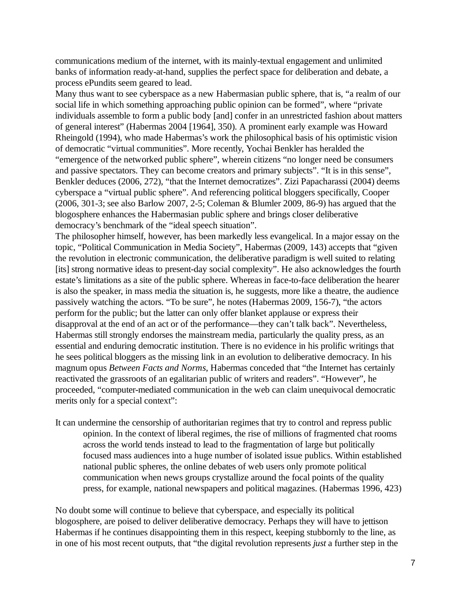communications medium of the internet, with its mainly-textual engagement and unlimited banks of information ready-at-hand, supplies the perfect space for deliberation and debate, a process ePundits seem geared to lead.

Many thus want to see cyberspace as a new Habermasian public sphere, that is, "a realm of our social life in which something approaching public opinion can be formed", where "private individuals assemble to form a public body [and] confer in an unrestricted fashion about matters of general interest" (Habermas 2004 [1964], 350). A prominent early example was Howard Rheingold (1994), who made Habermas's work the philosophical basis of his optimistic vision of democratic "virtual communities". More recently, Yochai Benkler has heralded the "emergence of the networked public sphere", wherein citizens "no longer need be consumers and passive spectators. They can become creators and primary subjects". "It is in this sense", Benkler deduces (2006, 272), "that the Internet democratizes". Zizi Papacharassi (2004) deems cyberspace a "virtual public sphere". And referencing political bloggers specifically, Cooper (2006, 301-3; see also Barlow 2007, 2-5; Coleman & Blumler 2009, 86-9) has argued that the blogosphere enhances the Habermasian public sphere and brings closer deliberative democracy's benchmark of the "ideal speech situation".

The philosopher himself, however, has been markedly less evangelical. In a major essay on the topic, "Political Communication in Media Society", Habermas (2009, 143) accepts that "given the revolution in electronic communication, the deliberative paradigm is well suited to relating [its] strong normative ideas to present-day social complexity". He also acknowledges the fourth estate's limitations as a site of the public sphere. Whereas in face-to-face deliberation the hearer is also the speaker, in mass media the situation is, he suggests, more like a theatre, the audience passively watching the actors. "To be sure", he notes (Habermas 2009, 156-7), "the actors perform for the public; but the latter can only offer blanket applause or express their disapproval at the end of an act or of the performance—they can't talk back". Nevertheless, Habermas still strongly endorses the mainstream media, particularly the quality press, as an essential and enduring democratic institution. There is no evidence in his prolific writings that he sees political bloggers as the missing link in an evolution to deliberative democracy. In his magnum opus *Between Facts and Norms*, Habermas conceded that "the Internet has certainly reactivated the grassroots of an egalitarian public of writers and readers". "However", he proceeded, "computer-mediated communication in the web can claim unequivocal democratic merits only for a special context":

It can undermine the censorship of authoritarian regimes that try to control and repress public opinion. In the context of liberal regimes, the rise of millions of fragmented chat rooms across the world tends instead to lead to the fragmentation of large but politically focused mass audiences into a huge number of isolated issue publics. Within established national public spheres, the online debates of web users only promote political communication when news groups crystallize around the focal points of the quality press, for example, national newspapers and political magazines. (Habermas 1996, 423)

No doubt some will continue to believe that cyberspace, and especially its political blogosphere, are poised to deliver deliberative democracy. Perhaps they will have to jettison Habermas if he continues disappointing them in this respect, keeping stubbornly to the line, as in one of his most recent outputs, that "the digital revolution represents *just* a further step in the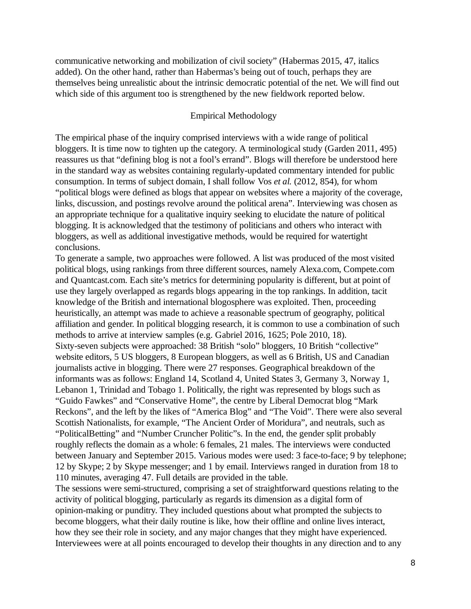communicative networking and mobilization of civil society" (Habermas 2015, 47, italics added). On the other hand, rather than Habermas's being out of touch, perhaps they are themselves being unrealistic about the intrinsic democratic potential of the net. We will find out which side of this argument too is strengthened by the new fieldwork reported below.

## Empirical Methodology

The empirical phase of the inquiry comprised interviews with a wide range of political bloggers. It is time now to tighten up the category. A terminological study (Garden 2011, 495) reassures us that "defining blog is not a fool's errand". Blogs will therefore be understood here in the standard way as websites containing regularly-updated commentary intended for public consumption. In terms of subject domain, I shall follow Vos *et al.* (2012, 854), for whom "political blogs were defined as blogs that appear on websites where a majority of the coverage, links, discussion, and postings revolve around the political arena". Interviewing was chosen as an appropriate technique for a qualitative inquiry seeking to elucidate the nature of political blogging. It is acknowledged that the testimony of politicians and others who interact with bloggers, as well as additional investigative methods, would be required for watertight conclusions.

To generate a sample, two approaches were followed. A list was produced of the most visited political blogs, using rankings from three different sources, namely Alexa.com, Compete.com and Quantcast.com. Each site's metrics for determining popularity is different, but at point of use they largely overlapped as regards blogs appearing in the top rankings. In addition, tacit knowledge of the British and international blogosphere was exploited. Then, proceeding heuristically, an attempt was made to achieve a reasonable spectrum of geography, political affiliation and gender. In political blogging research, it is common to use a combination of such methods to arrive at interview samples (e.g. Gabriel 2016, 1625; Pole 2010, 18). Sixty-seven subjects were approached: 38 British "solo" bloggers, 10 British "collective" website editors, 5 US bloggers, 8 European bloggers, as well as 6 British, US and Canadian journalists active in blogging. There were 27 responses. Geographical breakdown of the informants was as follows: England 14, Scotland 4, United States 3, Germany 3, Norway 1, Lebanon 1, Trinidad and Tobago 1. Politically, the right was represented by blogs such as "Guido Fawkes" and "Conservative Home", the centre by Liberal Democrat blog "Mark Reckons", and the left by the likes of "America Blog" and "The Void". There were also several Scottish Nationalists, for example, "The Ancient Order of Moridura", and neutrals, such as "PoliticalBetting" and "Number Cruncher Politic"s. In the end, the gender split probably roughly reflects the domain as a whole: 6 females, 21 males. The interviews were conducted between January and September 2015. Various modes were used: 3 face-to-face; 9 by telephone; 12 by Skype; 2 by Skype messenger; and 1 by email. Interviews ranged in duration from 18 to 110 minutes, averaging 47. Full details are provided in the table.

The sessions were semi-structured, comprising a set of straightforward questions relating to the activity of political blogging, particularly as regards its dimension as a digital form of opinion-making or punditry. They included questions about what prompted the subjects to become bloggers, what their daily routine is like, how their offline and online lives interact, how they see their role in society, and any major changes that they might have experienced. Interviewees were at all points encouraged to develop their thoughts in any direction and to any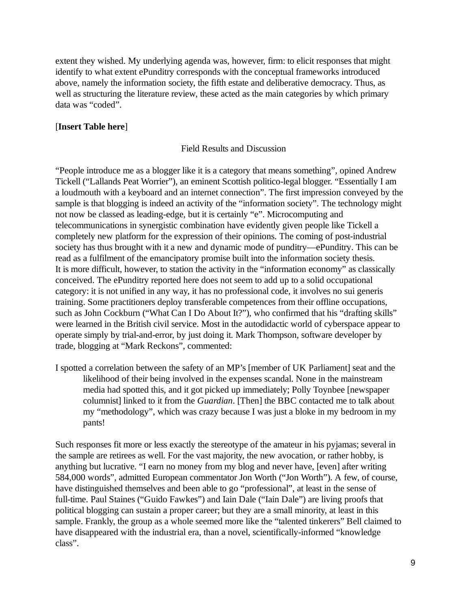extent they wished. My underlying agenda was, however, firm: to elicit responses that might identify to what extent ePunditry corresponds with the conceptual frameworks introduced above, namely the information society, the fifth estate and deliberative democracy. Thus, as well as structuring the literature review, these acted as the main categories by which primary data was "coded".

# [**Insert Table here**]

## Field Results and Discussion

"People introduce me as a blogger like it is a category that means something", opined Andrew Tickell ("Lallands Peat Worrier"), an eminent Scottish politico-legal blogger. "Essentially I am a loudmouth with a keyboard and an internet connection". The first impression conveyed by the sample is that blogging is indeed an activity of the "information society". The technology might not now be classed as leading-edge, but it is certainly "e". Microcomputing and telecommunications in synergistic combination have evidently given people like Tickell a completely new platform for the expression of their opinions. The coming of post-industrial society has thus brought with it a new and dynamic mode of punditry—ePunditry. This can be read as a fulfilment of the emancipatory promise built into the information society thesis. It is more difficult, however, to station the activity in the "information economy" as classically conceived. The ePunditry reported here does not seem to add up to a solid occupational category: it is not unified in any way, it has no professional code, it involves no sui generis training. Some practitioners deploy transferable competences from their offline occupations, such as John Cockburn ("What Can I Do About It?"), who confirmed that his "drafting skills" were learned in the British civil service. Most in the autodidactic world of cyberspace appear to operate simply by trial-and-error, by just doing it. Mark Thompson, software developer by trade, blogging at "Mark Reckons", commented:

I spotted a correlation between the safety of an MP's [member of UK Parliament] seat and the likelihood of their being involved in the expenses scandal. None in the mainstream media had spotted this, and it got picked up immediately; Polly Toynbee [newspaper columnist] linked to it from the *Guardian* . [Then] the BBC contacted me to talk about my "methodology", which was crazy because I was just a bloke in my bedroom in my pants!

Such responses fit more or less exactly the stereotype of the amateur in his pyjamas; several in the sample are retirees as well. For the vast majority, the new avocation, or rather hobby, is anything but lucrative. "I earn no money from my blog and never have, [even] after writing 584,000 words", admitted European commentator Jon Worth ("Jon Worth"). A few, of course, have distinguished themselves and been able to go "professional", at least in the sense of full-time. Paul Staines ("Guido Fawkes") and Iain Dale ("Iain Dale") are living proofs that political blogging can sustain a proper career; but they are a small minority, at least in this sample. Frankly, the group as a whole seemed more like the "talented tinkerers" Bell claimed to have disappeared with the industrial era, than a novel, scientifically-informed "knowledge class".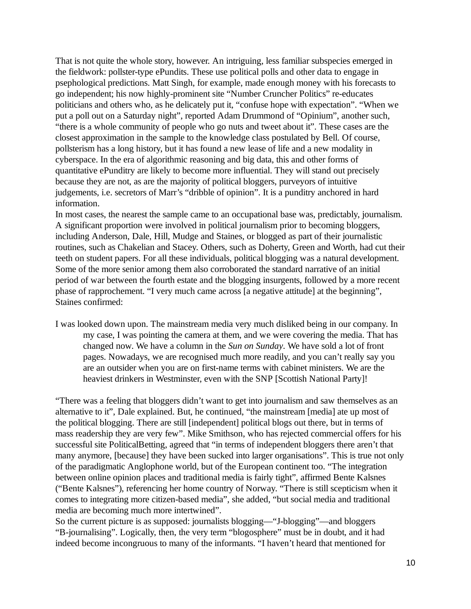That is not quite the whole story, however. An intriguing, less familiar subspecies emerged in the fieldwork: pollster-type ePundits. These use political polls and other data to engage in psephological predictions. Matt Singh, for example, made enough money with his forecasts to go independent; his now highly-prominent site "Number Cruncher Politics" re-educates politicians and others who, as he delicately put it, "confuse hope with expectation". "When we put a poll out on a Saturday night", reported Adam Drummond of "Opinium", another such, "there is a whole community of people who go nuts and tweet about it". These cases are the closest approximation in the sample to the knowledge class postulated by Bell. Of course, pollsterism has a long history, but it has found a new lease of life and a new modality in cyberspace. In the era of algorithmic reasoning and big data, this and other forms of quantitative ePunditry are likely to become more influential. They will stand out precisely because they are not, as are the majority of political bloggers, purveyors of intuitive judgements, i.e. secretors of Marr's "dribble of opinion". It is a punditry anchored in hard information.

In most cases, the nearest the sample came to an occupational base was, predictably, journalism. A significant proportion were involved in political journalism prior to becoming bloggers, including Anderson, Dale, Hill, Mudge and Staines, or blogged as part of their journalistic routines, such as Chakelian and Stacey. Others, such as Doherty, Green and Worth, had cut their teeth on student papers. For all these individuals, political blogging was a natural development. Some of the more senior among them also corroborated the standard narrative of an initial period of war between the fourth estate and the blogging insurgents, followed by a more recent phase of rapprochement. "I very much came across [a negative attitude] at the beginning", Staines confirmed:

I was looked down upon. The mainstream media very much disliked being in our company. In my case, I was pointing the camera at them, and we were covering the media. That has changed now. We have a column in the *Sun on Sunday*. We have sold a lot of front pages. Nowadays, we are recognised much more readily, and you can't really say you are an outsider when you are on first-name terms with cabinet ministers. We are the heaviest drinkers in Westminster, even with the SNP [Scottish National Party]!

"There was a feeling that bloggers didn't want to get into journalism and saw themselves as an alternative to it", Dale explained. But, he continued, "the mainstream [media] ate up most of the political blogging. There are still [independent] political blogs out there, but in terms of mass readership they are very few". Mike Smithson, who has rejected commercial offers for his successful site PoliticalBetting, agreed that "in terms of independent bloggers there aren't that many anymore, [because] they have been sucked into larger organisations". This is true not only of the paradigmatic Anglophone world, but of the European continent too. "The integration between online opinion places and traditional media is fairly tight", affirmed Bente Kalsnes ("Bente Kalsnes"), referencing her home country of Norway. "There is still scepticism when it comes to integrating more citizen-based media", she added, "but social media and traditional media are becoming much more intertwined".

So the current picture is as supposed: journalists blogging—"J-blogging"—and bloggers "B-journalising". Logically, then, the very term "blogosphere" must be in doubt, and it had indeed become incongruous to many of the informants. "I haven't heard that mentioned for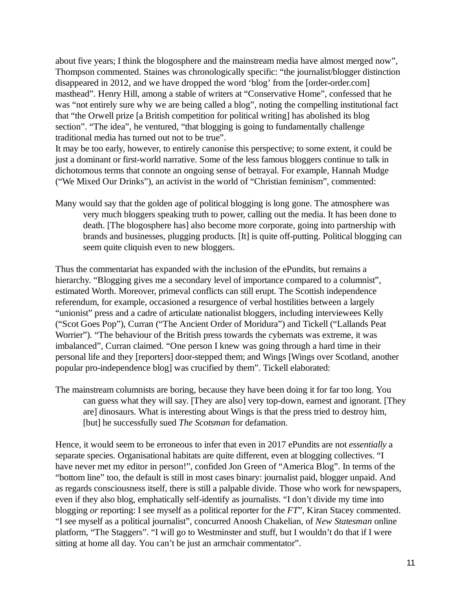about five years; I think the blogosphere and the mainstream media have almost merged now", Thompson commented. Staines was chronologically specific: "the journalist/blogger distinction disappeared in 2012, and we have dropped the word 'blog' from the [order-order.com] masthead". Henry Hill, among a stable of writers at "Conservative Home", confessed that he was "not entirely sure why we are being called a blog", noting the compelling institutional fact that "the Orwell prize [a British competition for political writing] has abolished its blog section". "The idea", he ventured, "that blogging is going to fundamentally challenge traditional media has turned out not to be true".

It may be too early, however, to entirely canonise this perspective; to some extent, it could be just a dominant or first-world narrative. Some of the less famous bloggers continue to talk in dichotomous terms that connote an ongoing sense of betrayal. For example, Hannah Mudge ("We Mixed Our Drinks"), an activist in the world of "Christian feminism", commented:

Many would say that the golden age of political blogging is long gone. The atmosphere was very much bloggers speaking truth to power, calling out the media. It has been done to death. [The blogosphere has] also become more corporate, going into partnership with brands and businesses, plugging products. [It] is quite off-putting. Political blogging can seem quite cliquish even to new bloggers.

Thus the commentariat has expanded with the inclusion of the ePundits, but remains a hierarchy. "Blogging gives me a secondary level of importance compared to a columnist", estimated Worth. Moreover, primeval conflicts can still erupt. The Scottish independence referendum, for example, occasioned a resurgence of verbal hostilities between a largely "unionist" press and a cadre of articulate nationalist bloggers, including interviewees Kelly ("Scot Goes Pop"), Curran ("The Ancient Order of Moridura") and Tickell ("Lallands Peat Worrier"). "The behaviour of the British press towards the cybernats was extreme, it was imbalanced", Curran claimed. "One person I knew was going through a hard time in their personal life and they [reporters] door-stepped them; and Wings [Wings over Scotland, another popular pro-independence blog] was crucified by them". Tickell elaborated:

The mainstream columnists are boring, because they have been doing it for far too long. You can guess what they will say. [They are also] very top-down, earnest and ignorant. [They are] dinosaurs. What is interesting about Wings is that the press tried to destroy him, [but] he successfully sued *The Scotsman* for defamation.

Hence, it would seem to be erroneous to infer that even in 2017 ePundits are not *essentially* a separate species. Organisational habitats are quite different, even at blogging collectives. "I have never met my editor in person!", confided Jon Green of "America Blog". In terms of the "bottom line" too, the default is still in most cases binary: journalist paid, blogger unpaid. And as regards consciousness itself, there is still a palpable divide. Those who work for newspapers, even if they also blog, emphatically self-identify as journalists. "I don't divide my time into blogging *or* reporting: I see myself as a political reporter for the *FT*", Kiran Stacey commented. "I see myself as a political journalist", concurred Anoosh Chakelian, of *New Statesman* online platform, "The Staggers". "I will go to Westminster and stuff, but I wouldn't do that if I were sitting at home all day. You can't be just an armchair commentator".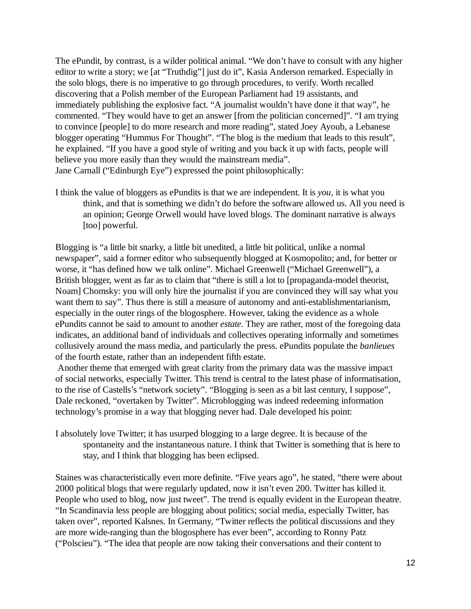The ePundit, by contrast, is a wilder political animal. "We don't have to consult with any higher editor to write a story; we [at "Truthdig"] just do it", Kasia Anderson remarked. Especially in the solo blogs, there is no imperative to go through procedures, to verify. Worth recalled discovering that a Polish member of the European Parliament had 19 assistants, and immediately publishing the explosive fact. "A journalist wouldn't have done it that way", he commented. "They would have to get an answer [from the politician concerned]". "I am trying to convince [people] to do more research and more reading", stated Joey Ayoub, a Lebanese blogger operating "Hummus For Thought". "The blog is the medium that leads to this result", he explained. "If you have a good style of writing and you back it up with facts, people will believe you more easily than they would the mainstream media". Jane Carnall ("Edinburgh Eye") expressed the point philosophically:

I think the value of bloggers as ePundits is that we are independent. It is *you* , it is what you think, and that is something we didn't do before the software allowed us. All you need is an opinion; George Orwell would have loved blogs. The dominant narrative is always [too] powerful.

Blogging is "a little bit snarky, a little bit unedited, a little bit political, unlike a normal newspaper", said a former editor who subsequently blogged at Kosmopolito; and, for better or worse, it "has defined how we talk online". Michael Greenwell ("Michael Greenwell"), a British blogger, went as far as to claim that "there is still a lot to [propaganda-model theorist, Noam] Chomsky: you will only hire the journalist if you are convinced they will say what you want them to say". Thus there is still a measure of autonomy and anti-establishmentarianism, especially in the outer rings of the blogosphere. However, taking the evidence as a whole ePundits cannot be said to amount to another *estate*. They are rather, most of the foregoing data indicates, an additional band of individuals and collectives operating informally and sometimes collusively around the mass media, and particularly the press. ePundits populate the *banlieues* of the fourth estate, rather than an independent fifth estate.

 Another theme that emerged with great clarity from the primary data was the massive impact of social networks, especially Twitter. This trend is central to the latest phase of informatisation, to the rise of Castells's "network society". "Blogging is seen as a bit last century, I suppose", Dale reckoned, "overtaken by Twitter". Microblogging was indeed redeeming information technology's promise in a way that blogging never had. Dale developed his point:

I absolutely love Twitter; it has usurped blogging to a large degree. It is because of the spontaneity and the instantaneous nature. I think that Twitter is something that is here to stay, and I think that blogging has been eclipsed.

Staines was characteristically even more definite. "Five years ago", he stated, "there were about 2000 political blogs that were regularly updated, now it isn't even 200. Twitter has killed it. People who used to blog, now just tweet". The trend is equally evident in the European theatre. "In Scandinavia less people are blogging about politics; social media, especially Twitter, has taken over", reported Kalsnes. In Germany, "Twitter reflects the political discussions and they are more wide-ranging than the blogosphere has ever been", according to Ronny Patz ("Polscieu"). "The idea that people are now taking their conversations and their content to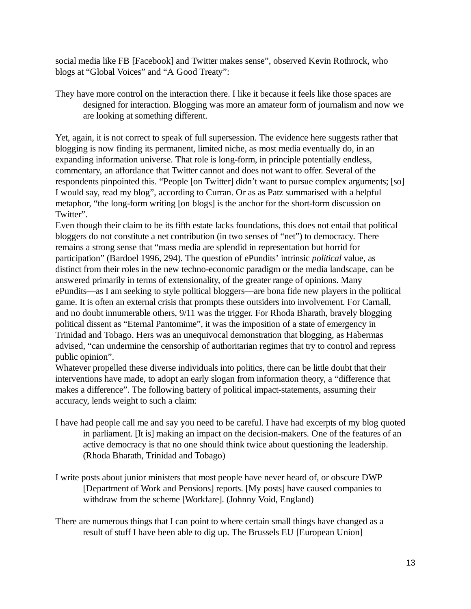social media like FB [Facebook] and Twitter makes sense", observed Kevin Rothrock, who blogs at "Global Voices" and "A Good Treaty":

They have more control on the interaction there. I like it because it feels like those spaces are designed for interaction. Blogging was more an amateur form of journalism and now we are looking at something different.

Yet, again, it is not correct to speak of full supersession. The evidence here suggests rather that blogging is now finding its permanent, limited niche, as most media eventually do, in an expanding information universe. That role is long-form, in principle potentially endless, commentary, an affordance that Twitter cannot and does not want to offer. Several of the respondents pinpointed this. "People [on Twitter] didn't want to pursue complex arguments; [so] I would say, read my blog", according to Curran. Or as as Patz summarised with a helpful metaphor, "the long-form writing [on blogs] is the anchor for the short-form discussion on Twitter".

Even though their claim to be its fifth estate lacks foundations, this does not entail that political bloggers do not constitute a net contribution (in two senses of "net") to democracy. There remains a strong sense that "mass media are splendid in representation but horrid for participation" (Bardoel 1996, 294). The question of ePundits' intrinsic *political* value, as distinct from their roles in the new techno-economic paradigm or the media landscape, can be answered primarily in terms of extensionality, of the greater range of opinions. Many ePundits— as I am seeking to style political bloggers— are bona fide new players in the political game. It is often an external crisis that prompts these outsiders into involvement. For Carnall, and no doubt innumerable others, 9/11 was the trigger. For Rhoda Bharath, bravely blogging political dissent as "Eternal Pantomime", it was the imposition of a state of emergency in Trinidad and Tobago. Hers was an unequivocal demonstration that blogging, as Habermas advised, "can undermine the censorship of authoritarian regimes that try to control and repress public opinion".

Whatever propelled these diverse individuals into politics, there can be little doubt that their interventions have made, to adopt an early slogan from information theory, a "difference that makes a difference". The following battery of political impact-statements, assuming their accuracy, lends weight to such a claim:

- I have had people call me and say you need to be careful. I have had excerpts of my blog quoted in parliament. [It is] making an impact on the decision-makers. One of the features of an active democracy is that no one should think twice about questioning the leadership. (Rhoda Bharath, Trinidad and Tobago)
- I write posts about junior ministers that most people have never heard of, or obscure DWP [Department of Work and Pensions] reports. [My posts] have caused companies to withdraw from the scheme [Workfare]. (Johnny Void, England)
- There are numerous things that I can point to where certain small things have changed as a result of stuff I have been able to dig up. The Brussels EU [European Union]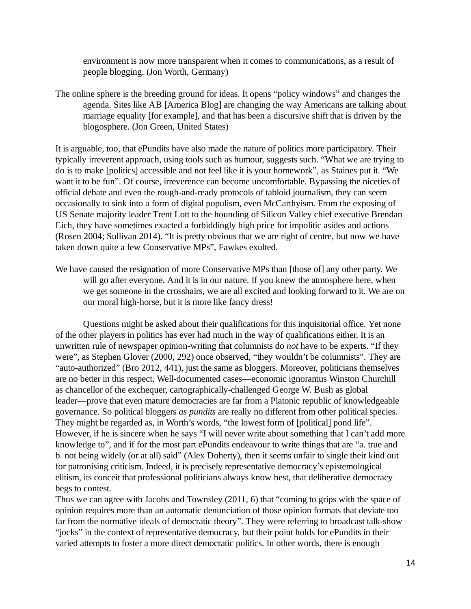environment is now more transparent when it comes to communications, as a result of people blogging. (Jon Worth, Germany)

The online sphere is the breeding ground for ideas. It opens "policy windows" and changes the agenda. Sites like AB [America Blog] are changing the way Americans are talking about marriage equality [for example], and that has been a discursive shift that is driven by the blogosphere. (Jon Green, United States)

It is arguable, too, that ePundits have also made the nature of politics more participatory. Their typically irreverent approach, using tools such as humour, suggests such. "What we are trying to do is to make [politics] accessible and not feel like it is your homework", as Staines put it. "We want it to be fun". Of course, irreverence can become uncomfortable. Bypassing the niceties of official debate and even the rough-and-ready protocols of tabloid journalism, they can seem occasionally to sink into a form of digital populism, even McCarthyism. From the exposing of US Senate majority leader Trent Lott to the hounding of Silicon Valley chief executive Brendan Eich, they have sometimes exacted a forbiddingly high price for impolitic asides and actions (Rosen 2004; Sullivan 2014). "It is pretty obvious that we are right of centre, but now we have taken down quite a few Conservative MPs", Fawkes exulted.

We have caused the resignation of more Conservative MPs than [those of] any other party. We will go after everyone. And it is in our nature. If you knew the atmosphere here, when we get someone in the crosshairs, we are all excited and looking forward to it. We are on our moral high-horse, but it is more like fancy dress!

Questions might be asked about their qualifications for this inquisitorial office. Yet none of the other players in politics has ever had much in the way of qualifications either. It is an unwritten rule of newspaper opinion-writing that columnists do *not* have to be experts. "If they were", as Stephen Glover (2000, 292) once observed, "they wouldn't be columnists". They are "auto-authorized" (Bro 2012, 441), just the same as bloggers. Moreover, politicians themselves are no better in this respect. Well-documented cases— economic ignoramus Winston Churchill as chancellor of the exchequer, cartographically-challenged George W. Bush as global leader— prove that even mature democracies are far from a Platonic republic of knowledgeable governance. So political bloggers *as pundits* are really no different from other political species. They might be regarded as, in Worth's words, "the lowest form of [political] pond life". However, if he is sincere when he says "I will never write about something that I can't add more knowledge to", and if for the most part ePundits endeavour to write things that are "a. true and b. not being widely (or at all) said" (Alex Doherty), then it seems unfair to single their kind out for patronising criticism. Indeed, it is precisely representative democracy's epistemological elitism, its conceit that professional politicians always know best, that deliberative democracy begs to contest.

Thus we can agree with Jacobs and Townsley (2011, 6) that "coming to grips with the space of opinion requires more than an automatic denunciation of those opinion formats that deviate too far from the normative ideals of democratic theory". They were referring to broadcast talk-show "jocks" in the context of representative democracy, but their point holds for ePundits in their varied attempts to foster a more direct democratic politics. In other words, there is enough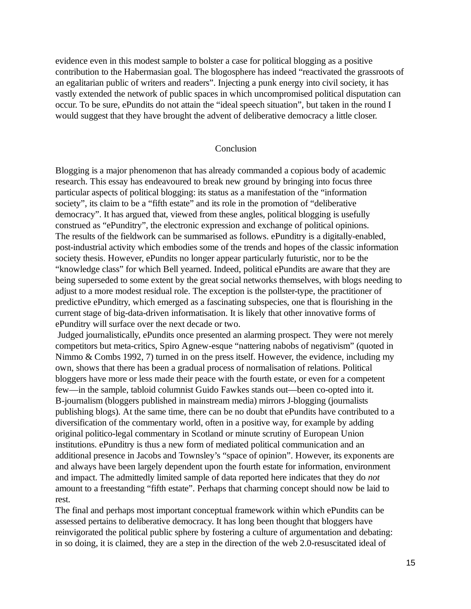evidence even in this modest sample to bolster a case for political blogging as a positive contribution to the Habermasian goal. The blogosphere has indeed "reactivated the grassroots of an egalitarian public of writers and readers". Injecting a punk energy into civil society, it has vastly extended the network of public spaces in which uncompromised political disputation can occur. To be sure, ePundits do not attain the "ideal speech situation", but taken in the round I would suggest that they have brought the advent of deliberative democracy a little closer.

#### Conclusion

Blogging is a major phenomenon that has already commanded a copious body of academic research. This essay has endeavoured to break new ground by bringing into focus three particular aspects of political blogging: its status as a manifestation of the "information society", its claim to be a "fifth estate" and its role in the promotion of "deliberative democracy". It has argued that, viewed from these angles, political blogging is usefully construed as "ePunditry", the electronic expression and exchange of political opinions. The results of the fieldwork can be summarised as follows. ePunditry is a digitally-enabled, post-industrial activity which embodies some of the trends and hopes of the classic information society thesis. However, ePundits no longer appear particularly futuristic, nor to be the "knowledge class" for which Bell yearned. Indeed, political ePundits are aware that they are being superseded to some extent by the great social networks themselves, with blogs needing to adjust to a more modest residual role. The exception is the pollster-type, the practitioner of predictive ePunditry, which emerged as a fascinating subspecies, one that is flourishing in the current stage of big-data-driven informatisation. It is likely that other innovative forms of ePunditry will surface over the next decade or two.

 Judged journalistically, ePundits once presented an alarming prospect. They were not merely competitors but meta-critics, Spiro Agnew-esque "nattering nabobs of negativism" (quoted in Nimmo & Combs 1992, 7) turned in on the press itself. However, the evidence, including my own, shows that there has been a gradual process of normalisation of relations. Political bloggers have more or less made their peace with the fourth estate, or even for a competent few—in the sample, tabloid columnist Guido Fawkes stands out—been co-opted into it. B-journalism (bloggers published in mainstream media) mirrors J-blogging (journalists publishing blogs). At the same time, there can be no doubt that ePundits have contributed to a diversification of the commentary world, often in a positive way, for example by adding original politico-legal commentary in Scotland or minute scrutiny of European Union institutions. ePunditry is thus a new form of mediated political communication and an additional presence in Jacobs and Townsley's "space of opinion". However, its exponents are and always have been largely dependent upon the fourth estate for information, environment and impact. The admittedly limited sample of data reported here indicates that they do *not* amount to a freestanding "fifth estate". Perhaps that charming concept should now be laid to rest.

The final and perhaps most important conceptual framework within which ePundits can be assessed pertains to deliberative democracy. It has long been thought that bloggers have reinvigorated the political public sphere by fostering a culture of argumentation and debating: in so doing, it is claimed, they are a step in the direction of the web 2.0-resuscitated ideal of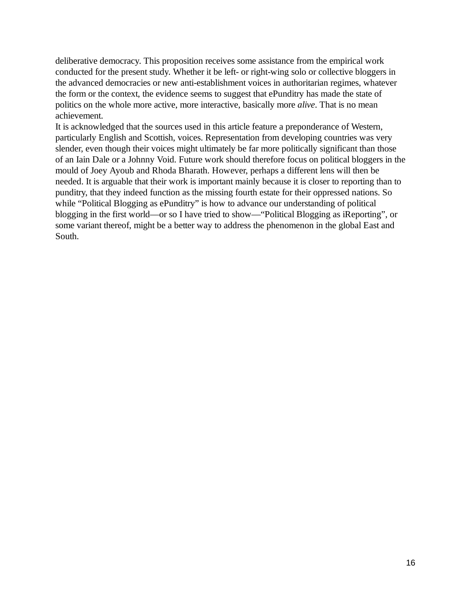deliberative democracy. This proposition receives some assistance from the empirical work conducted for the present study. Whether it be left- or right-wing solo or collective bloggers in the advanced democracies or new anti-establishment voices in authoritarian regimes, whatever the form or the context, the evidence seems to suggest that ePunditry has made the state of politics on the whole more active, more interactive, basically more *alive*. That is no mean achievement.

It is acknowledged that the sources used in this article feature a preponderance of Western, particularly English and Scottish, voices. Representation from developing countries was very slender, even though their voices might ultimately be far more politically significant than those of an Iain Dale or a Johnny Void. Future work should therefore focus on political bloggers in the mould of Joey Ayoub and Rhoda Bharath. However, perhaps a different lens will then be needed. It is arguable that their work is important mainly because it is closer to reporting than to punditry, that they indeed function as the missing fourth estate for their oppressed nations. So while "Political Blogging as ePunditry" is how to advance our understanding of political blogging in the first world—or so I have tried to show—"Political Blogging as iReporting", or some variant thereof, might be a better way to address the phenomenon in the global East and South.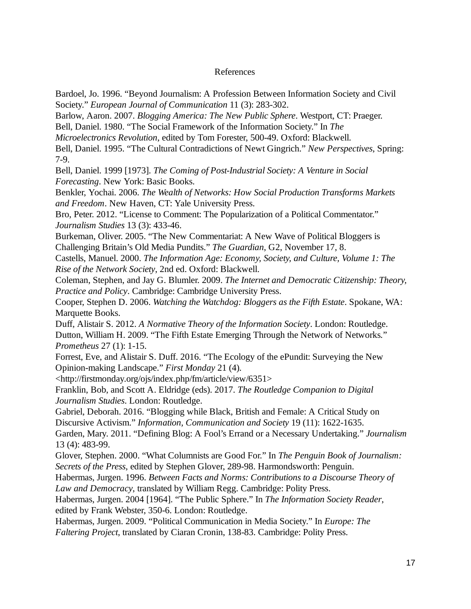# References

Bardoel, Jo. 1996. "Beyond Journalism: A Profession Between Information Society and Civil Society." *European Journal of Communication* 11 (3): 283-302.

Barlow, Aaron. 2007. *Blogging America: The New Public Sphere*. Westport, CT: Praeger. Bell, Daniel. 1980. "The Social Framework of the Information Society." In *The*

*Microelectronics Revolution* , edited by Tom Forester, 500-49. Oxford: Blackwell.

Bell, Daniel. 1995. "The Cultural Contradictions of Newt Gingrich." *New Perspectives*, Spring: 7-9.

Bell, Daniel. 1999 [1973]. *The Coming of Post-Industrial Society: A Venture in Social Forecasting* . New York: Basic Books.

Benkler, Yochai. 2006. *The Wealth of Networks: How Social Production Transforms Markets and Freedom*. New Haven, CT: Yale University Press.

Bro, Peter. 2012. "License to Comment: The Popularization of a Political Commentator." *Journalism Studies* 13 (3): 433-46.

Burkeman, Oliver. 2005. "The New Commentariat: A New Wave of Political Bloggers is Challenging Britain's Old Media Pundits." *The Guardian* , G2, November 17, 8.

Castells, Manuel. 2000. *The Information Age: Economy, Society, and Culture, Volume 1: The Rise of the Network Society*, 2nd ed. Oxford: Blackwell.

Coleman, Stephen, and Jay G. Blumler. 2009. *The Internet and Democratic Citizenship: Theory, Practice and Policy*. Cambridge: Cambridge University Press.

Cooper, Stephen D. 2006. *Watching the Watchdog: Bloggers as the Fifth Estate*. Spokane, WA: Marquette Books.

Duff, Alistair S. 2012. *A Normative Theory of the Information Society*. London: Routledge. Dutton, William H. 2009. "The Fifth Estate Emerging Through the Network of Networks*.* " *Prometheus* 27 (1): 1-15.

Forrest, Eve, and Alistair S. Duff. 2016. "The Ecology of the ePundit: Surveying the New Opinion-making Landscape." *First Monday* 21 (4).

<http://firstmonday.org/ojs/index.php/fm/article/view/6351 >

Franklin, Bob, and Scott A. Eldridge (eds). 2017. *The Routledge Companion to Digital Journalism Studies*. London: Routledge.

Gabriel, Deborah. 2016. "Blogging while Black, British and Female: A Critical Study on Discursive Activism." *Information, Communication and Society* 19 (11): 1622-1635.

Garden, Mary. 2011. "Defining Blog: A Fool's Errand or a Necessary Undertaking." *Journalism* 13 (4): 483-99.

Glover, Stephen. 2000. "What Columnists are Good For." In *The Penguin Book of Journalism: Secrets of the Press*, edited by Stephen Glover, 289-98. Harmondsworth: Penguin.

Habermas, Jurgen. 1996. *Between Facts and Norms: Contributions to a Discourse Theory of Law and Democracy*, translated by William Regg. Cambridge: Polity Press.

Habermas, Jurgen. 2004 [1964]. "The Public Sphere." In *The Information Society Reader*, edited by Frank Webster, 350-6. London: Routledge.

Habermas, Jurgen. 2009. "Political Communication in Media Society." In *Europe: The Faltering Project*, translated by Ciaran Cronin, 138-83. Cambridge: Polity Press.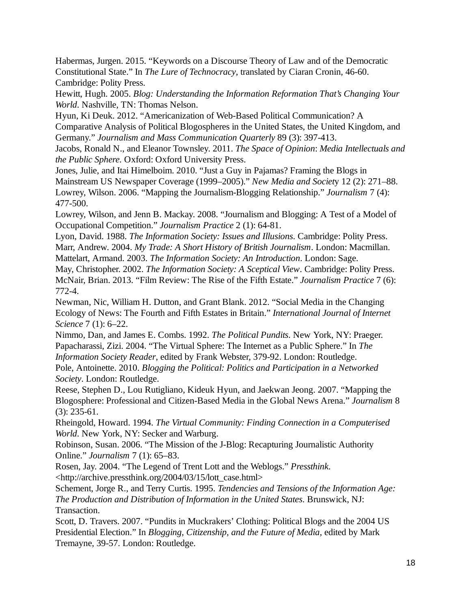Habermas, Jurgen. 2015. "Keywords on a Discourse Theory of Law and of the Democratic Constitutional State." In *The Lure of Technocracy*, translated by Ciaran Cronin, 46-60. Cambridge: Polity Press.

Hewitt, Hugh. 2005. *Blog: Understanding the Information Reformation That's Changing Your World.* Nashville, TN: Thomas Nelson.

Hyun, Ki Deuk. 2012. "Americanization of Web-Based Political Communication? A Comparative Analysis of Political Blogospheres in the United States, the United Kingdom, and Germany." *Journalism and Mass Communication Quarterly* 89 (3): 397-413.

Jacobs, Ronald N., and Eleanor Townsley. 2011. *The Space of Opinion* : *Media Intellectuals and the Public Sphere.* Oxford: Oxford University Press.

Jones, Julie, and Itai Himelboim. 2010. "Just a Guy in Pajamas? Framing the Blogs in Mainstream US Newspaper Coverage (1999–2005)." *New Media and Societ*y 12 (2): 271–88. Lowrey, Wilson. 2006. "Mapping the Journalism-Blogging Relationship." *Journalism* 7 (4): 477-500.

Lowrey, Wilson, and Jenn B. Mackay. 2008. "Journalism and Blogging: A Test of a Model of Occupational Competition." *Journalism Practice* 2 (1): 64-81.

Lyon, David. 1988. *The Information Society: Issues and Illusions*. Cambridge: Polity Press. Marr, Andrew. 2004. *My Trade: A Short History of British Journalism*. London: Macmillan. Mattelart, Armand. 2003. *The Information Society: An Introduction* . London: Sage.

May, Christopher. 2002. *The Information Society: A Sceptical View*. Cambridge: Polity Press. McNair, Brian. 2013. "Film Review: The Rise of the Fifth Estate." *Journalism Practice* 7 (6): 772-4.

Newman, Nic, William H. Dutton, and Grant Blank. 2012. "Social Media in the Changing Ecology of News: The Fourth and Fifth Estates in Britain." *International Journal of Internet Science* 7 (1): 6–22.

Nimmo, Dan, and James E. Combs. 1992. *The Political Pundits*. New York, NY: Praeger. Papacharassi, Zizi. 2004. "The Virtual Sphere: The Internet as a Public Sphere." In *The Information Society Reader*, edited by Frank Webster, 379-92. London: Routledge.

Pole, Antoinette. 2010. *Blogging the Political: Politics and Participation in a Networked Society*. London: Routledge.

Reese, Stephen D., Lou Rutigliano, Kideuk Hyun, and Jaekwan Jeong. 2007. "Mapping the Blogosphere: Professional and Citizen-Based Media in the Global News Arena." *Journalism* 8 (3): 235-61.

Rheingold, Howard. 1994. *The Virtual Community: Finding Connection in a Computerised World.* New York, NY: Secker and Warburg.

Robinson, Susan. 2006. "The Mission of the J-Blog: Recapturing Journalistic Authority Online." *Journalism* 7 (1): 65–83.

Rosen, Jay. 2004. "The Legend of Trent Lott and the Weblogs." *Pressthink*. <http://archive.pressthink.org/2004/03/15/lott\_case.html>

Schement, Jorge R., and Terry Curtis. 1995. *Tendencies and Tensions of the Information Age: The Production and Distribution of Information in the United States*. Brunswick, NJ: Transaction.

Scott, D. Travers. 2007. "Pundits in Muckrakers' Clothing: Political Blogs and the 2004 US Presidential Election." In *Blogging, Citizenship, and the Future of Media*, edited by Mark Tremayne, 39-57. London: Routledge.